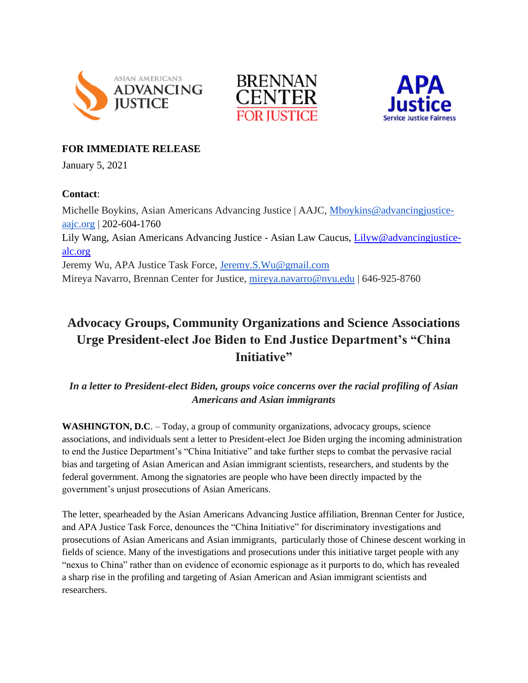





## **FOR IMMEDIATE RELEASE**

January 5, 2021

### **Contact**:

Michelle Boykins, Asian Americans Advancing Justice | AAJC, [Mboykins@advancingjustice](mailto:Mboykins@advancingjustice-aajc.org)[aajc.org](mailto:Mboykins@advancingjustice-aajc.org) | 202-604-1760 Lily Wang, Asian Americans Advancing Justice - Asian Law Caucus, [Lilyw@advancingjustice](mailto:Lilyw@advancingjustice-alc.org)[alc.org](mailto:Lilyw@advancingjustice-alc.org) Jeremy Wu, APA Justice Task Force, [Jeremy.S.Wu@gmail.com](mailto:Jeremy.S.Wu@gmail.com) Mireya Navarro, Brennan Center for Justice, [mireya.navarro@nyu.edu](mailto:mireya.navarro@nyu.edu) | 646-925-8760

# **Advocacy Groups, Community Organizations and Science Associations Urge President-elect Joe Biden to End Justice Department's "China Initiative"**

## *In a letter to President-elect Biden, groups voice concerns over the racial profiling of Asian Americans and Asian immigrants*

**WASHINGTON, D.C**. – Today, a group of community organizations, advocacy groups, science associations, and individuals sent a letter to President-elect Joe Biden urging the incoming administration to end the Justice Department's "China Initiative" and take further steps to combat the pervasive racial bias and targeting of Asian American and Asian immigrant scientists, researchers, and students by the federal government. Among the signatories are people who have been directly impacted by the government's unjust prosecutions of Asian Americans.

The letter, spearheaded by the Asian Americans Advancing Justice affiliation, Brennan Center for Justice, and APA Justice Task Force, denounces the "China Initiative" for discriminatory investigations and prosecutions of Asian Americans and Asian immigrants, particularly those of Chinese descent working in fields of science. Many of the investigations and prosecutions under this initiative target people with any "nexus to China" rather than on evidence of economic espionage as it purports to do, which has revealed a sharp rise in the profiling and targeting of Asian American and Asian immigrant scientists and researchers.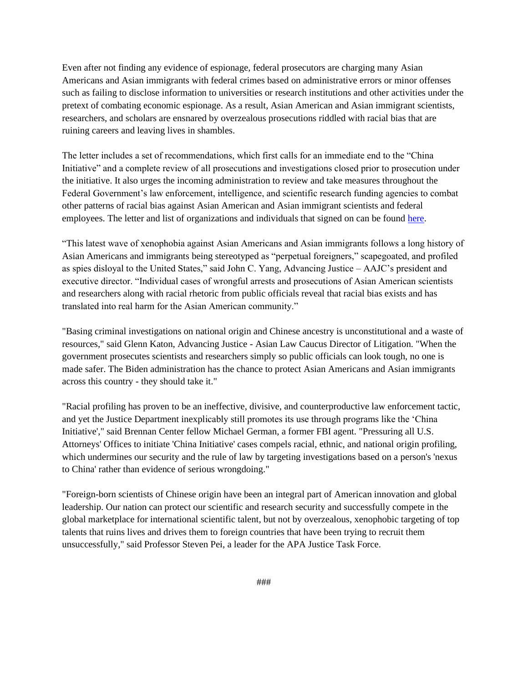Even after not finding any evidence of espionage, federal prosecutors are charging many Asian Americans and Asian immigrants with federal crimes based on administrative errors or minor offenses such as failing to disclose information to universities or research institutions and other activities under the pretext of combating economic espionage. As a result, Asian American and Asian immigrant scientists, researchers, and scholars are ensnared by overzealous prosecutions riddled with racial bias that are ruining careers and leaving lives in shambles.

The letter includes a set of recommendations, which first calls for an immediate end to the "China Initiative" and a complete review of all prosecutions and investigations closed prior to prosecution under the initiative. It also urges the incoming administration to review and take measures throughout the Federal Government's law enforcement, intelligence, and scientific research funding agencies to combat other patterns of racial bias against Asian American and Asian immigrant scientists and federal employees. The letter and list of organizations and individuals that signed on can be found [here.](http://link.mediaoutreach.meltwater.com/ls/click?upn=l1l1ATdCLyNPM1PkKdMr0uaqGItp4FEw2n9lny7iuQexHzCCX-2Fx5X1lQ7-2BTB0MTjsSpMSCLbuskVIBL-2FtYXVvwinnlCNl-2FZOGOAv2Uc6K4JJSSnhuipx7FCBPObM1PpTuMvUrzFdXmjvMum-2Br2xGha1lExGaRB0snC7ZdSBOfpM3KdWT6tWURTsRZ-2FNAYVkzuzYTyonXJ-2FaHniV-2B3najAQ-3D-3D4UCe_KkvstGM78Pu5B-2BBiEUiZ-2Bwv-2FyLez7JkD8OxqAY-2FYXccIbPND-2FDZt6au46Z6st9Ikl91PGN3yacfIYmhrfdZ3J6EAI0kWNIpVRpXnYr1lVmR5aq7-2Bwtti4gmDRL51vrr5kuFtGOTU-2FwzG5jzsxGLPXCZFPyiIes8b9UTU-2FTBwP6EzSKraqYhegp0h2c8u8exm29uo7UzzvPPjHXuTK0h1TA1qLok-2BqK5d7ssmqgZZFD6AnRpCA2LjMaEQ9ACh4pqGyQFPYrhpHd0aqB0Z33jlfSfHrGOdsVwXsrhbjaMiTS0w03t3RcM8MfsEJ3osorttvb7NwEuwTWA-2B88q5-2B9xE-2BEl40m5L2RXAcXugBVATjn0qeGw3Z1X5vAgWk6yjGTKgkVKIvABB7qkNof0dpJBOJnMXkVFimZquve1hXX1QTmo-3D)

"This latest wave of xenophobia against Asian Americans and Asian immigrants follows a long history of Asian Americans and immigrants being stereotyped as "perpetual foreigners," scapegoated, and profiled as spies disloyal to the United States," said John C. Yang, Advancing Justice – AAJC's president and executive director. "Individual cases of wrongful arrests and prosecutions of Asian American scientists and researchers along with racial rhetoric from public officials reveal that racial bias exists and has translated into real harm for the Asian American community."

"Basing criminal investigations on national origin and Chinese ancestry is unconstitutional and a waste of resources," said Glenn Katon, Advancing Justice - Asian Law Caucus Director of Litigation. "When the government prosecutes scientists and researchers simply so public officials can look tough, no one is made safer. The Biden administration has the chance to protect Asian Americans and Asian immigrants across this country - they should take it."

"Racial profiling has proven to be an ineffective, divisive, and counterproductive law enforcement tactic, and yet the Justice Department inexplicably still promotes its use through programs like the 'China Initiative'," said Brennan Center fellow Michael German, a former FBI agent. "Pressuring all U.S. Attorneys' Offices to initiate 'China Initiative' cases compels racial, ethnic, and national origin profiling, which undermines our security and the rule of law by targeting investigations based on a person's 'nexus to China' rather than evidence of serious wrongdoing."

"Foreign-born scientists of Chinese origin have been an integral part of American innovation and global leadership. Our nation can protect our scientific and research security and successfully compete in the global marketplace for international scientific talent, but not by overzealous, xenophobic targeting of top talents that ruins lives and drives them to foreign countries that have been trying to recruit them unsuccessfully," said Professor Steven Pei, a leader for the APA Justice Task Force.